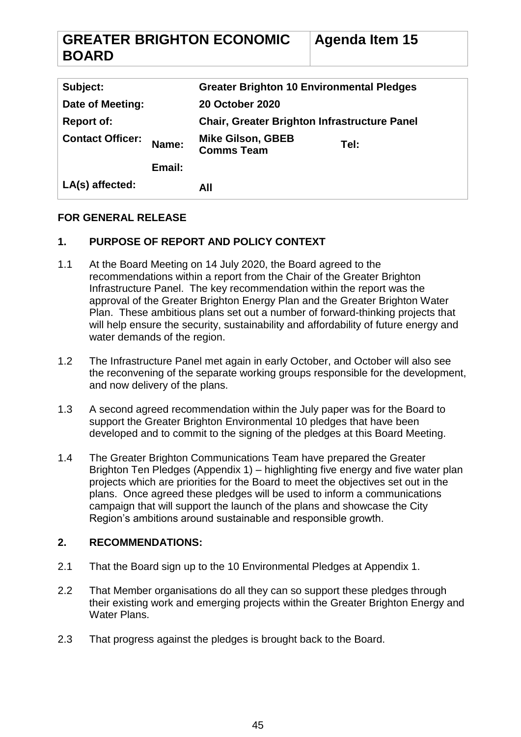#### **GREATER BRIGHTON ECONOMIC BOARD Agenda Item 15**

| Subject:                |        | <b>Greater Brighton 10 Environmental Pledges</b>    |      |
|-------------------------|--------|-----------------------------------------------------|------|
| Date of Meeting:        |        | <b>20 October 2020</b>                              |      |
| <b>Report of:</b>       |        | <b>Chair, Greater Brighton Infrastructure Panel</b> |      |
| <b>Contact Officer:</b> | Name:  | <b>Mike Gilson, GBEB</b><br><b>Comms Team</b>       | Tel: |
|                         | Email: |                                                     |      |
| LA(s) affected:         |        | All                                                 |      |

## **FOR GENERAL RELEASE**

# **1. PURPOSE OF REPORT AND POLICY CONTEXT**

- 1.1 At the Board Meeting on 14 July 2020, the Board agreed to the recommendations within a report from the Chair of the Greater Brighton Infrastructure Panel. The key recommendation within the report was the approval of the Greater Brighton Energy Plan and the Greater Brighton Water Plan. These ambitious plans set out a number of forward-thinking projects that will help ensure the security, sustainability and affordability of future energy and water demands of the region.
- 1.2 The Infrastructure Panel met again in early October, and October will also see the reconvening of the separate working groups responsible for the development, and now delivery of the plans.
- 1.3 A second agreed recommendation within the July paper was for the Board to support the Greater Brighton Environmental 10 pledges that have been developed and to commit to the signing of the pledges at this Board Meeting.
- 1.4 The Greater Brighton Communications Team have prepared the Greater Brighton Ten Pledges (Appendix 1) – highlighting five energy and five water plan projects which are priorities for the Board to meet the objectives set out in the plans. Once agreed these pledges will be used to inform a communications campaign that will support the launch of the plans and showcase the City Region's ambitions around sustainable and responsible growth.

## **2. RECOMMENDATIONS:**

- 2.1 That the Board sign up to the 10 Environmental Pledges at Appendix 1.
- 2.2 That Member organisations do all they can so support these pledges through their existing work and emerging projects within the Greater Brighton Energy and Water Plans.
- 2.3 That progress against the pledges is brought back to the Board.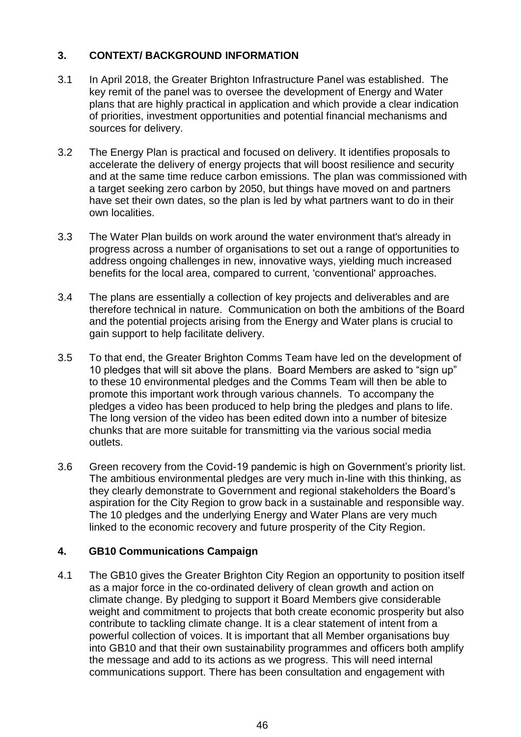# **3. CONTEXT/ BACKGROUND INFORMATION**

- 3.1 In April 2018, the Greater Brighton Infrastructure Panel was established. The key remit of the panel was to oversee the development of Energy and Water plans that are highly practical in application and which provide a clear indication of priorities, investment opportunities and potential financial mechanisms and sources for delivery.
- 3.2 The Energy Plan is practical and focused on delivery. It identifies proposals to accelerate the delivery of energy projects that will boost resilience and security and at the same time reduce carbon emissions. The plan was commissioned with a target seeking zero carbon by 2050, but things have moved on and partners have set their own dates, so the plan is led by what partners want to do in their own localities.
- 3.3 The Water Plan builds on work around the water environment that's already in progress across a number of organisations to set out a range of opportunities to address ongoing challenges in new, innovative ways, yielding much increased benefits for the local area, compared to current, 'conventional' approaches.
- 3.4 The plans are essentially a collection of key projects and deliverables and are therefore technical in nature. Communication on both the ambitions of the Board and the potential projects arising from the Energy and Water plans is crucial to gain support to help facilitate delivery.
- 3.5 To that end, the Greater Brighton Comms Team have led on the development of 10 pledges that will sit above the plans. Board Members are asked to "sign up" to these 10 environmental pledges and the Comms Team will then be able to promote this important work through various channels. To accompany the pledges a video has been produced to help bring the pledges and plans to life. The long version of the video has been edited down into a number of bitesize chunks that are more suitable for transmitting via the various social media outlets.
- 3.6 Green recovery from the Covid-19 pandemic is high on Government's priority list. The ambitious environmental pledges are very much in-line with this thinking, as they clearly demonstrate to Government and regional stakeholders the Board's aspiration for the City Region to grow back in a sustainable and responsible way. The 10 pledges and the underlying Energy and Water Plans are very much linked to the economic recovery and future prosperity of the City Region.

## **4. GB10 Communications Campaign**

4.1 The GB10 gives the Greater Brighton City Region an opportunity to position itself as a major force in the co-ordinated delivery of clean growth and action on climate change. By pledging to support it Board Members give considerable weight and commitment to projects that both create economic prosperity but also contribute to tackling climate change. It is a clear statement of intent from a powerful collection of voices. It is important that all Member organisations buy into GB10 and that their own sustainability programmes and officers both amplify the message and add to its actions as we progress. This will need internal communications support. There has been consultation and engagement with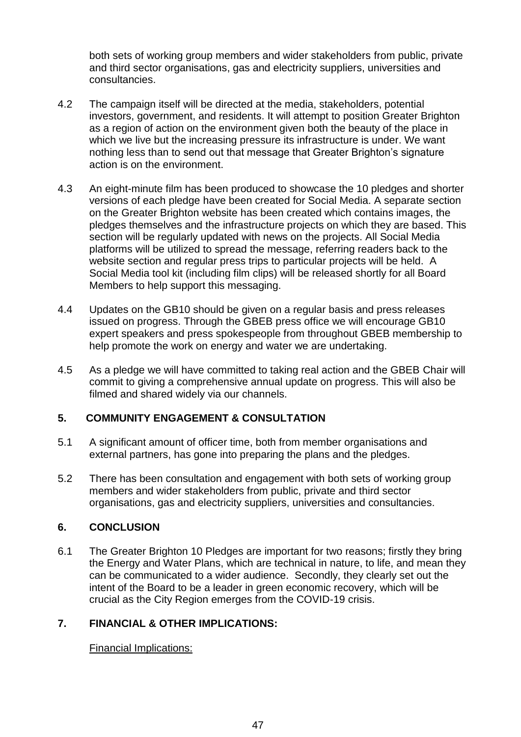both sets of working group members and wider stakeholders from public, private and third sector organisations, gas and electricity suppliers, universities and consultancies.

- 4.2 The campaign itself will be directed at the media, stakeholders, potential investors, government, and residents. It will attempt to position Greater Brighton as a region of action on the environment given both the beauty of the place in which we live but the increasing pressure its infrastructure is under. We want nothing less than to send out that message that Greater Brighton's signature action is on the environment.
- 4.3 An eight-minute film has been produced to showcase the 10 pledges and shorter versions of each pledge have been created for Social Media. A separate section on the Greater Brighton website has been created which contains images, the pledges themselves and the infrastructure projects on which they are based. This section will be regularly updated with news on the projects. All Social Media platforms will be utilized to spread the message, referring readers back to the website section and regular press trips to particular projects will be held. A Social Media tool kit (including film clips) will be released shortly for all Board Members to help support this messaging.
- 4.4 Updates on the GB10 should be given on a regular basis and press releases issued on progress. Through the GBEB press office we will encourage GB10 expert speakers and press spokespeople from throughout GBEB membership to help promote the work on energy and water we are undertaking.
- 4.5 As a pledge we will have committed to taking real action and the GBEB Chair will commit to giving a comprehensive annual update on progress. This will also be filmed and shared widely via our channels.

## **5. COMMUNITY ENGAGEMENT & CONSULTATION**

- 5.1 A significant amount of officer time, both from member organisations and external partners, has gone into preparing the plans and the pledges.
- 5.2 There has been consultation and engagement with both sets of working group members and wider stakeholders from public, private and third sector organisations, gas and electricity suppliers, universities and consultancies.

## **6. CONCLUSION**

6.1 The Greater Brighton 10 Pledges are important for two reasons; firstly they bring the Energy and Water Plans, which are technical in nature, to life, and mean they can be communicated to a wider audience. Secondly, they clearly set out the intent of the Board to be a leader in green economic recovery, which will be crucial as the City Region emerges from the COVID-19 crisis.

# **7. FINANCIAL & OTHER IMPLICATIONS:**

## Financial Implications: